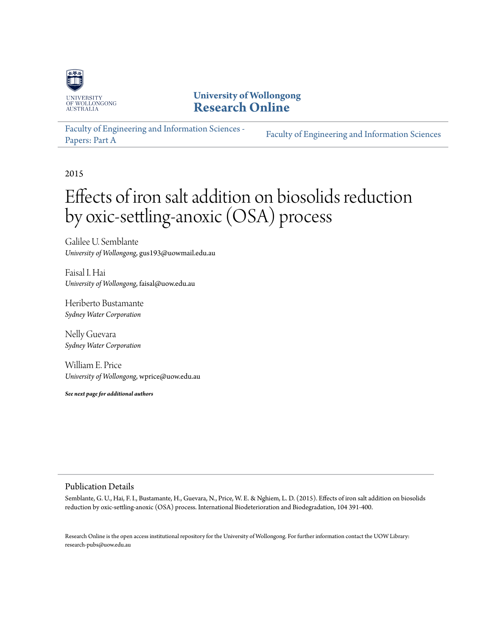

# **University of Wollongong [Research Online](http://ro.uow.edu.au)**

[Faculty of Engineering and Information Sciences -](http://ro.uow.edu.au/eispapers) [Papers: Part A](http://ro.uow.edu.au/eispapers) [Faculty of Engineering and Information Sciences](http://ro.uow.edu.au/eis)

2015

# Effects of iron salt addition on biosolids reduction by oxic-settling-anoxic (OSA) process

Galilee U. Semblante *University of Wollongong*, gus193@uowmail.edu.au

Faisal I. Hai *University of Wollongong*, faisal@uow.edu.au

Heriberto Bustamante *Sydney Water Corporation*

Nelly Guevara *Sydney Water Corporation*

William E. Price *University of Wollongong*, wprice@uow.edu.au

*See next page for additional authors*

#### Publication Details

Semblante, G. U., Hai, F. I., Bustamante, H., Guevara, N., Price, W. E. & Nghiem, L. D. (2015). Effects of iron salt addition on biosolids reduction by oxic-settling-anoxic (OSA) process. International Biodeterioration and Biodegradation, 104 391-400.

Research Online is the open access institutional repository for the University of Wollongong. For further information contact the UOW Library: research-pubs@uow.edu.au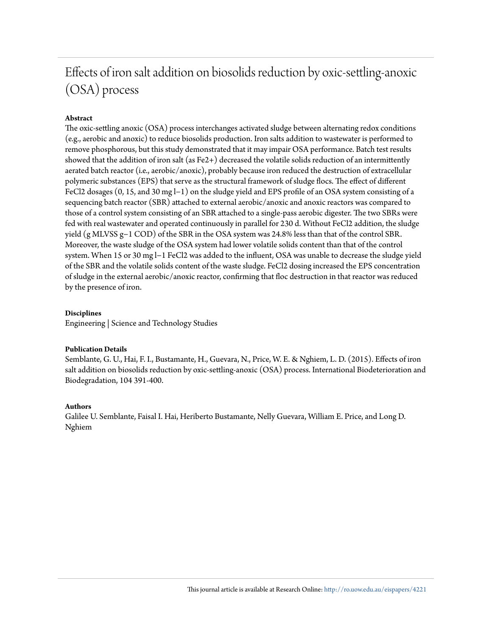# Effects of iron salt addition on biosolids reduction by oxic-settling-anoxic (OSA) process

#### **Abstract**

The oxic-settling anoxic (OSA) process interchanges activated sludge between alternating redox conditions (e.g., aerobic and anoxic) to reduce biosolids production. Iron salts addition to wastewater is performed to remove phosphorous, but this study demonstrated that it may impair OSA performance. Batch test results showed that the addition of iron salt (as Fe2+) decreased the volatile solids reduction of an intermittently aerated batch reactor (i.e., aerobic/anoxic), probably because iron reduced the destruction of extracellular polymeric substances (EPS) that serve as the structural framework of sludge flocs. The effect of different FeCl2 dosages (0, 15, and 30 mg l−1) on the sludge yield and EPS profile of an OSA system consisting of a sequencing batch reactor (SBR) attached to external aerobic/anoxic and anoxic reactors was compared to those of a control system consisting of an SBR attached to a single-pass aerobic digester. The two SBRs were fed with real wastewater and operated continuously in parallel for 230 d. Without FeCl2 addition, the sludge yield (g MLVSS g−1 COD) of the SBR in the OSA system was 24.8% less than that of the control SBR. Moreover, the waste sludge of the OSA system had lower volatile solids content than that of the control system. When 15 or 30 mg l−1 FeCl2 was added to the influent, OSA was unable to decrease the sludge yield of the SBR and the volatile solids content of the waste sludge. FeCl2 dosing increased the EPS concentration of sludge in the external aerobic/anoxic reactor, confirming that floc destruction in that reactor was reduced by the presence of iron.

#### **Disciplines**

Engineering | Science and Technology Studies

#### **Publication Details**

Semblante, G. U., Hai, F. I., Bustamante, H., Guevara, N., Price, W. E. & Nghiem, L. D. (2015). Effects of iron salt addition on biosolids reduction by oxic-settling-anoxic (OSA) process. International Biodeterioration and Biodegradation, 104 391-400.

#### **Authors**

Galilee U. Semblante, Faisal I. Hai, Heriberto Bustamante, Nelly Guevara, William E. Price, and Long D. Nghiem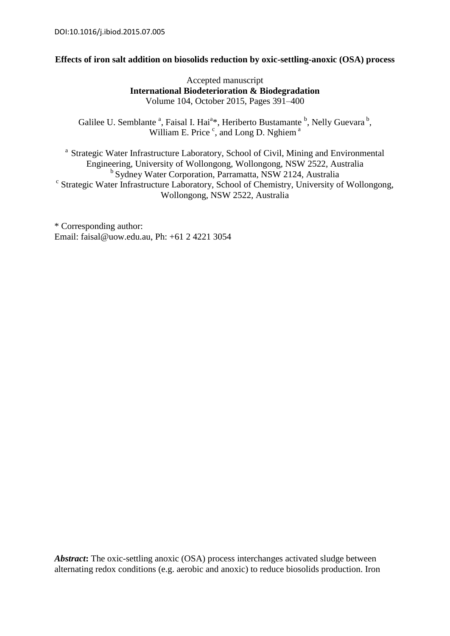#### **Effects of iron salt addition on biosolids reduction by oxic-settling-anoxic (OSA) process**

Accepted manuscript **International Biodeterioration & Biodegradation** Volume 104, October 2015, Pages 391–400

Galilee U. Semblante <sup>a</sup>, Faisal I. Hai<sup>a\*</sup>, Heriberto Bustamante <sup>b</sup>, Nelly Guevara<sup>b</sup>, William E. Price  $\degree$ , and Long D. Nghiem  $\degree$ 

<sup>a</sup> Strategic Water Infrastructure Laboratory, School of Civil, Mining and Environmental Engineering, University of Wollongong, Wollongong, NSW 2522, Australia <sup>b</sup> Sydney Water Corporation, Parramatta, NSW 2124, Australia <sup>c</sup> Strategic Water Infrastructure Laboratory, School of Chemistry, University of Wollongong, Wollongong, NSW 2522, Australia

\* Corresponding author: Email: faisal@uow.edu.au, Ph: +61 2 4221 3054

*Abstract***:** The oxic-settling anoxic (OSA) process interchanges activated sludge between alternating redox conditions (e.g. aerobic and anoxic) to reduce biosolids production. Iron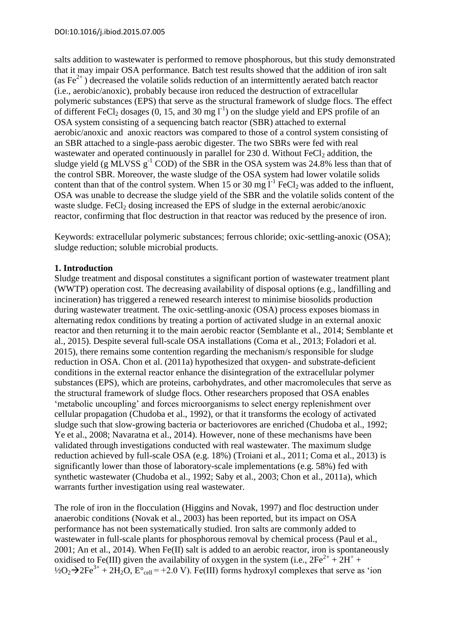salts addition to wastewater is performed to remove phosphorous, but this study demonstrated that it may impair OSA performance. Batch test results showed that the addition of iron salt (as  $\text{Fe}^{2+}$ ) decreased the volatile solids reduction of an intermittently aerated batch reactor (i.e., aerobic/anoxic), probably because iron reduced the destruction of extracellular polymeric substances (EPS) that serve as the structural framework of sludge flocs. The effect of different FeCl<sub>2</sub> dosages (0, 15, and 30 mg  $1^{-1}$ ) on the sludge yield and EPS profile of an OSA system consisting of a sequencing batch reactor (SBR) attached to external aerobic/anoxic and anoxic reactors was compared to those of a control system consisting of an SBR attached to a single-pass aerobic digester. The two SBRs were fed with real wastewater and operated continuously in parallel for 230 d. Without FeCl<sub>2</sub> addition, the sludge yield (g MLVSS  $g^{-1}$  COD) of the SBR in the OSA system was 24.8% less than that of the control SBR. Moreover, the waste sludge of the OSA system had lower volatile solids content than that of the control system. When 15 or 30 mg  $I^{-1}$  FeCl<sub>2</sub> was added to the influent, OSA was unable to decrease the sludge yield of the SBR and the volatile solids content of the waste sludge. FeCl<sub>2</sub> dosing increased the EPS of sludge in the external aerobic/anoxic reactor, confirming that floc destruction in that reactor was reduced by the presence of iron.

Keywords: extracellular polymeric substances; ferrous chloride; oxic-settling-anoxic (OSA); sludge reduction; soluble microbial products.

### **1. Introduction**

Sludge treatment and disposal constitutes a significant portion of wastewater treatment plant (WWTP) operation cost. The decreasing availability of disposal options (e.g., landfilling and incineration) has triggered a renewed research interest to minimise biosolids production during wastewater treatment. The oxic-settling-anoxic (OSA) process exposes biomass in alternating redox conditions by treating a portion of activated sludge in an external anoxic reactor and then returning it to the main aerobic reactor (Semblante et al., 2014; Semblante et al., 2015). Despite several full-scale OSA installations (Coma et al., 2013; Foladori et al. 2015), there remains some contention regarding the mechanism/s responsible for sludge reduction in OSA. Chon et al. (2011a) hypothesized that oxygen- and substrate-deficient conditions in the external reactor enhance the disintegration of the extracellular polymer substances (EPS), which are proteins, carbohydrates, and other macromolecules that serve as the structural framework of sludge flocs. Other researchers proposed that OSA enables 'metabolic uncoupling' and forces microorganisms to select energy replenishment over cellular propagation (Chudoba et al., 1992), or that it transforms the ecology of activated sludge such that slow-growing bacteria or bacteriovores are enriched (Chudoba et al., 1992; Ye et al., 2008; Navaratna et al., 2014). However, none of these mechanisms have been validated through investigations conducted with real wastewater. The maximum sludge reduction achieved by full-scale OSA (e.g. 18%) (Troiani et al., 2011; Coma et al., 2013) is significantly lower than those of laboratory-scale implementations (e.g. 58%) fed with synthetic wastewater (Chudoba et al., 1992; Saby et al., 2003; Chon et al., 2011a), which warrants further investigation using real wastewater.

The role of iron in the flocculation (Higgins and Novak, 1997) and floc destruction under anaerobic conditions (Novak et al., 2003) has been reported, but its impact on OSA performance has not been systematically studied. Iron salts are commonly added to wastewater in full-scale plants for phosphorous removal by chemical process (Paul et al., 2001; An et al., 2014). When Fe(II) salt is added to an aerobic reactor, iron is spontaneously oxidised to Fe(III) given the availability of oxygen in the system (i.e.,  $2Fe^{2+} + 2H^{+} +$  $\frac{1}{2}Q_2 \rightarrow 2Fe^{3+} + 2H_2O$ ,  $E^{\circ}$ <sub>cell</sub> = +2.0 V). Fe(III) forms hydroxyl complexes that serve as 'ion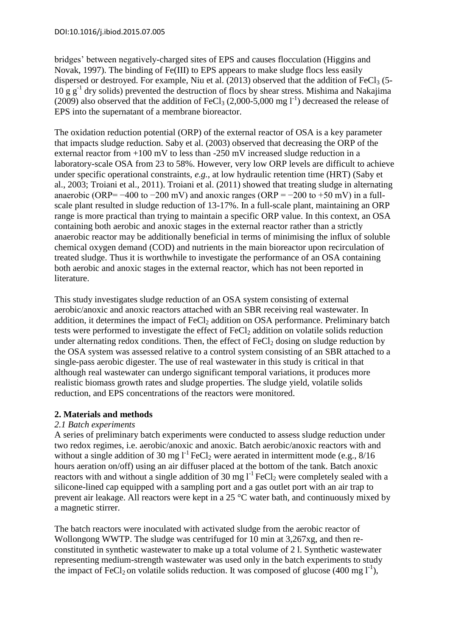bridges' between negatively-charged sites of EPS and causes flocculation (Higgins and Novak, 1997). The binding of Fe(III) to EPS appears to make sludge flocs less easily dispersed or destroyed. For example, Niu et al.  $(2013)$  observed that the addition of FeCl<sub>3</sub> (5-10 g g-1 dry solids) prevented the destruction of flocs by shear stress. Mishima and Nakajima (2009) also observed that the addition of FeCl<sub>3</sub> (2,000-5,000 mg  $l^{-1}$ ) decreased the release of EPS into the supernatant of a membrane bioreactor.

The oxidation reduction potential (ORP) of the external reactor of OSA is a key parameter that impacts sludge reduction. Saby et al. (2003) observed that decreasing the ORP of the external reactor from +100 mV to less than -250 mV increased sludge reduction in a laboratory-scale OSA from 23 to 58%. However, very low ORP levels are difficult to achieve under specific operational constraints, *e.g.*, at low hydraulic retention time (HRT) (Saby et al., 2003; Troiani et al., 2011). Troiani et al. (2011) showed that treating sludge in alternating anaerobic (ORP=  $-400$  to  $-200$  mV) and anoxic ranges (ORP =  $-200$  to  $+50$  mV) in a fullscale plant resulted in sludge reduction of 13-17%. In a full-scale plant, maintaining an ORP range is more practical than trying to maintain a specific ORP value. In this context, an OSA containing both aerobic and anoxic stages in the external reactor rather than a strictly anaerobic reactor may be additionally beneficial in terms of minimising the influx of soluble chemical oxygen demand (COD) and nutrients in the main bioreactor upon recirculation of treated sludge. Thus it is worthwhile to investigate the performance of an OSA containing both aerobic and anoxic stages in the external reactor, which has not been reported in literature.

This study investigates sludge reduction of an OSA system consisting of external aerobic/anoxic and anoxic reactors attached with an SBR receiving real wastewater. In addition, it determines the impact of  $FeCl<sub>2</sub>$  addition on OSA performance. Preliminary batch tests were performed to investigate the effect of  $FeCl<sub>2</sub>$  addition on volatile solids reduction under alternating redox conditions. Then, the effect of  $FeCl<sub>2</sub>$  dosing on sludge reduction by the OSA system was assessed relative to a control system consisting of an SBR attached to a single-pass aerobic digester. The use of real wastewater in this study is critical in that although real wastewater can undergo significant temporal variations, it produces more realistic biomass growth rates and sludge properties. The sludge yield, volatile solids reduction, and EPS concentrations of the reactors were monitored.

# **2. Materials and methods**

# *2.1 Batch experiments*

A series of preliminary batch experiments were conducted to assess sludge reduction under two redox regimes, i.e. aerobic/anoxic and anoxic. Batch aerobic/anoxic reactors with and without a single addition of 30 mg  $l^{-1}$  FeCl<sub>2</sub> were aerated in intermittent mode (e.g.,  $8/16$ ) hours aeration on/off) using an air diffuser placed at the bottom of the tank. Batch anoxic reactors with and without a single addition of 30 mg  $I<sup>-1</sup>$  FeCl<sub>2</sub> were completely sealed with a silicone-lined cap equipped with a sampling port and a gas outlet port with an air trap to prevent air leakage. All reactors were kept in a 25 °C water bath, and continuously mixed by a magnetic stirrer.

The batch reactors were inoculated with activated sludge from the aerobic reactor of Wollongong WWTP. The sludge was centrifuged for 10 min at 3,267xg, and then reconstituted in synthetic wastewater to make up a total volume of 2 l. Synthetic wastewater representing medium-strength wastewater was used only in the batch experiments to study the impact of FeCl<sub>2</sub> on volatile solids reduction. It was composed of glucose (400 mg  $1^{-1}$ ),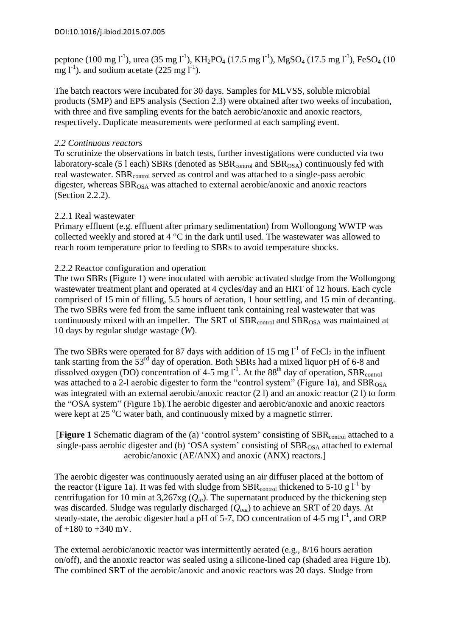peptone (100 mg l<sup>-1</sup>), urea (35 mg l<sup>-1</sup>), KH<sub>2</sub>PO<sub>4</sub> (17.5 mg l<sup>-1</sup>), MgSO<sub>4</sub> (17.5 mg l<sup>-1</sup>), FeSO<sub>4</sub> (10  $\text{mg } l^{-1}$ ), and sodium acetate (225 mg  $l^{-1}$ ).

The batch reactors were incubated for 30 days. Samples for MLVSS, soluble microbial products (SMP) and EPS analysis (Section 2.3) were obtained after two weeks of incubation, with three and five sampling events for the batch aerobic/anoxic and anoxic reactors, respectively. Duplicate measurements were performed at each sampling event.

#### *2.2 Continuous reactors*

To scrutinize the observations in batch tests, further investigations were conducted via two laboratory-scale (5 l each) SBRs (denoted as  $SBR_{control}$  and  $SBR_{OSA}$ ) continuously fed with real wastewater. SBR<sub>control</sub> served as control and was attached to a single-pass aerobic digester, whereas  $SBR_{OSA}$  was attached to external aerobic/anoxic and anoxic reactors (Section 2.2.2).

#### 2.2.1 Real wastewater

Primary effluent (e.g. effluent after primary sedimentation) from Wollongong WWTP was collected weekly and stored at 4 °C in the dark until used. The wastewater was allowed to reach room temperature prior to feeding to SBRs to avoid temperature shocks.

#### 2.2.2 Reactor configuration and operation

The two SBRs (Figure 1) were inoculated with aerobic activated sludge from the Wollongong wastewater treatment plant and operated at 4 cycles/day and an HRT of 12 hours. Each cycle comprised of 15 min of filling, 5.5 hours of aeration, 1 hour settling, and 15 min of decanting. The two SBRs were fed from the same influent tank containing real wastewater that was continuously mixed with an impeller. The SRT of  $SBR<sub>control</sub>$  and  $SBR<sub>OSA</sub>$  was maintained at 10 days by regular sludge wastage (*W*).

The two SBRs were operated for 87 days with addition of 15 mg  $l^{-1}$  of FeCl<sub>2</sub> in the influent tank starting from the  $53<sup>rd</sup>$  day of operation. Both SBRs had a mixed liquor pH of 6-8 and dissolved oxygen (DO) concentration of 4-5 mg  $1^{-1}$ . At the 88<sup>th</sup> day of operation, SBR<sub>control</sub> was attached to a 2-l aerobic digester to form the "control system" (Figure 1a), and  $SBR<sub>OSA</sub>$ was integrated with an external aerobic/anoxic reactor (2 l) and an anoxic reactor (2 l) to form the "OSA system" (Figure 1b).The aerobic digester and aerobic/anoxic and anoxic reactors were kept at  $25^{\circ}$ C water bath, and continuously mixed by a magnetic stirrer.

**[Figure 1** Schematic diagram of the (a) 'control system' consisting of SBR<sub>control</sub> attached to a single-pass aerobic digester and (b) 'OSA system' consisting of  $SBR<sub>OSA</sub>$  attached to external aerobic/anoxic (AE/ANX) and anoxic (ANX) reactors.]

The aerobic digester was continuously aerated using an air diffuser placed at the bottom of the reactor (Figure 1a). It was fed with sludge from  $SBR_{control}$  thickened to 5-10 g  $I<sup>-1</sup>$  by centrifugation for 10 min at  $3,267xg$  ( $Q_{in}$ ). The supernatant produced by the thickening step was discarded. Sludge was regularly discharged (*Qout*) to achieve an SRT of 20 days. At steady-state, the aerobic digester had a pH of 5-7, DO concentration of 4-5 mg  $1^1$ , and ORP of +180 to +340 mV.

The external aerobic/anoxic reactor was intermittently aerated (e.g., 8/16 hours aeration on/off), and the anoxic reactor was sealed using a silicone-lined cap (shaded area Figure 1b). The combined SRT of the aerobic/anoxic and anoxic reactors was 20 days. Sludge from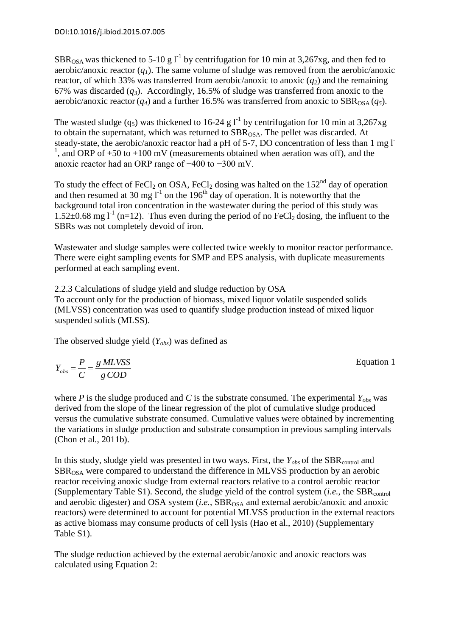SBR<sub>OSA</sub> was thickened to 5-10 g  $I<sup>-1</sup>$  by centrifugation for 10 min at 3,267xg, and then fed to aerobic/anoxic reactor  $(q<sub>I</sub>)$ . The same volume of sludge was removed from the aerobic/anoxic reactor, of which 33% was transferred from aerobic/anoxic to anoxic (*q2*) and the remaining 67% was discarded  $(q_3)$ . Accordingly, 16.5% of sludge was transferred from anoxic to the aerobic/anoxic reactor  $(q_4)$  and a further 16.5% was transferred from anoxic to  $SBR_{OSA}(q_5)$ .

The wasted sludge (q<sub>5</sub>) was thickened to 16-24 g  $l^{-1}$  by centrifugation for 10 min at 3,267xg to obtain the supernatant, which was returned to  $SBR<sub>OSA</sub>$ . The pellet was discarded. At steady-state, the aerobic/anoxic reactor had a pH of 5-7, DO concentration of less than 1 mg l-<sup>1</sup>, and ORP of +50 to +100 mV (measurements obtained when aeration was off), and the anoxic reactor had an ORP range of −400 to −300 mV.

To study the effect of FeCl<sub>2</sub> on OSA, FeCl<sub>2</sub> dosing was halted on the 152<sup>nd</sup> day of operation and then resumed at 30 mg  $I<sup>-1</sup>$  on the 196<sup>th</sup> day of operation. It is noteworthy that the background total iron concentration in the wastewater during the period of this study was 1.52 $\pm$ 0.68 mg l<sup>-1</sup> (n=12). Thus even during the period of no FeCl<sub>2</sub> dosing, the influent to the SBRs was not completely devoid of iron.

Wastewater and sludge samples were collected twice weekly to monitor reactor performance. There were eight sampling events for SMP and EPS analysis, with duplicate measurements performed at each sampling event.

2.2.3 Calculations of sludge yield and sludge reduction by OSA To account only for the production of biomass, mixed liquor volatile suspended solids (MLVSS) concentration was used to quantify sludge production instead of mixed liquor suspended solids (MLSS).

The observed sludge yield (*Yobs*) was defined as

*gCOD g MLVSS C*  $Y_{obs} = \frac{P}{C} =$ 

where *P* is the sludge produced and *C* is the substrate consumed. The experimental  $Y_{obs}$  was derived from the slope of the linear regression of the plot of cumulative sludge produced versus the cumulative substrate consumed. Cumulative values were obtained by incrementing the variations in sludge production and substrate consumption in previous sampling intervals (Chon et al., 2011b).

In this study, sludge yield was presented in two ways. First, the  $Y_{obs}$  of the SBR<sub>control</sub> and SBR<sub>OSA</sub> were compared to understand the difference in MLVSS production by an aerobic reactor receiving anoxic sludge from external reactors relative to a control aerobic reactor (Supplementary Table S1). Second, the sludge yield of the control system (*i.e.*, the SBR<sub>control</sub> and aerobic digester) and OSA system (*i.e.*, SBR<sub>OSA</sub> and external aerobic/anoxic and anoxic reactors) were determined to account for potential MLVSS production in the external reactors as active biomass may consume products of cell lysis (Hao et al., 2010) (Supplementary Table S1).

The sludge reduction achieved by the external aerobic/anoxic and anoxic reactors was calculated using Equation 2:

Equation 1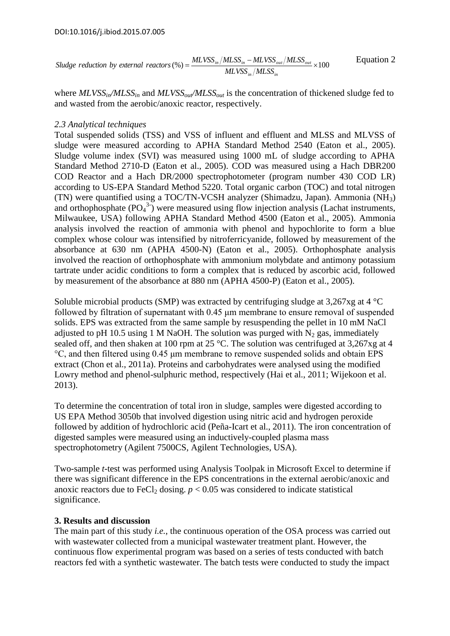$$
Sludge \ reduction \ by \ external \ reactions (\%) = \frac{MLVSS_{in}/MLSS_{in} - MLVSS_{out}/MLSS_{out}}{MLVSS_{in}/MLSS_{in}} \times 100
$$
 *Equation 2*

where *MLVSSin/MLSSin* and *MLVSSout/MLSSout* is the concentration of thickened sludge fed to and wasted from the aerobic/anoxic reactor, respectively.

#### *2.3 Analytical techniques*

Total suspended solids (TSS) and VSS of influent and effluent and MLSS and MLVSS of sludge were measured according to APHA Standard Method 2540 (Eaton et al., 2005). Sludge volume index (SVI) was measured using 1000 mL of sludge according to APHA Standard Method 2710-D (Eaton et al., 2005). COD was measured using a Hach DBR200 COD Reactor and a Hach DR/2000 spectrophotometer (program number 430 COD LR) according to US-EPA Standard Method 5220. Total organic carbon (TOC) and total nitrogen (TN) were quantified using a TOC/TN-VCSH analyzer (Shimadzu, Japan). Ammonia (NH3) and orthophosphate  $(PO<sub>4</sub><sup>3</sup>)$  were measured using flow injection analysis (Lachat instruments, Milwaukee, USA) following APHA Standard Method 4500 (Eaton et al., 2005). Ammonia analysis involved the reaction of ammonia with phenol and hypochlorite to form a blue complex whose colour was intensified by nitroferricyanide, followed by measurement of the absorbance at 630 nm (APHA 4500-N) (Eaton et al., 2005). Orthophosphate analysis involved the reaction of orthophosphate with ammonium molybdate and antimony potassium tartrate under acidic conditions to form a complex that is reduced by ascorbic acid, followed by measurement of the absorbance at 880 nm (APHA 4500-P) (Eaton et al., 2005).

Soluble microbial products (SMP) was extracted by centrifuging sludge at 3,267xg at 4 °C followed by filtration of supernatant with 0.45 μm membrane to ensure removal of suspended solids. EPS was extracted from the same sample by resuspending the pellet in 10 mM NaCl adjusted to pH 10.5 using 1 M NaOH. The solution was purged with  $N_2$  gas, immediately sealed off, and then shaken at 100 rpm at 25 °C. The solution was centrifuged at 3,267xg at 4 °C, and then filtered using 0.45 μm membrane to remove suspended solids and obtain EPS extract (Chon et al., 2011a). Proteins and carbohydrates were analysed using the modified Lowry method and phenol-sulphuric method, respectively (Hai et al., 2011; Wijekoon et al. 2013).

To determine the concentration of total iron in sludge, samples were digested according to US EPA Method 3050b that involved digestion using nitric acid and hydrogen peroxide followed by addition of hydrochloric acid (Peña-Icart et al., 2011). The iron concentration of digested samples were measured using an inductively-coupled plasma mass spectrophotometry (Agilent 7500CS, Agilent Technologies, USA).

Two-sample *t*-test was performed using Analysis Toolpak in Microsoft Excel to determine if there was significant difference in the EPS concentrations in the external aerobic/anoxic and anoxic reactors due to FeCl<sub>2</sub> dosing.  $p < 0.05$  was considered to indicate statistical significance.

#### **3. Results and discussion**

The main part of this study *i.e.*, the continuous operation of the OSA process was carried out with wastewater collected from a municipal wastewater treatment plant. However, the continuous flow experimental program was based on a series of tests conducted with batch reactors fed with a synthetic wastewater. The batch tests were conducted to study the impact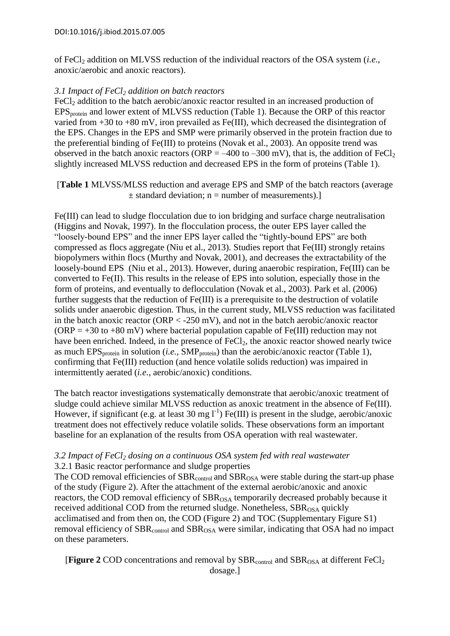of FeCl<sup>2</sup> addition on MLVSS reduction of the individual reactors of the OSA system (*i.e.*, anoxic/aerobic and anoxic reactors).

### *3.1 Impact of FeCl<sup>2</sup> addition on batch reactors*

FeCl<sub>2</sub> addition to the batch aerobic/anoxic reactor resulted in an increased production of EPS<sub>protein</sub> and lower extent of MLVSS reduction (Table 1). Because the ORP of this reactor varied from  $+30$  to  $+80$  mV, iron prevailed as Fe(III), which decreased the disintegration of the EPS. Changes in the EPS and SMP were primarily observed in the protein fraction due to the preferential binding of Fe(III) to proteins (Novak et al., 2003). An opposite trend was observed in the batch anoxic reactors (ORP =  $-400$  to  $-300$  mV), that is, the addition of FeCl<sub>2</sub> slightly increased MLVSS reduction and decreased EPS in the form of proteins (Table 1).

[**Table 1** MLVSS/MLSS reduction and average EPS and SMP of the batch reactors (average  $\pm$  standard deviation; n = number of measurements).

Fe(III) can lead to sludge flocculation due to ion bridging and surface charge neutralisation (Higgins and Novak, 1997). In the flocculation process, the outer EPS layer called the "loosely-bound EPS" and the inner EPS layer called the "tightly-bound EPS" are both compressed as flocs aggregate (Niu et al., 2013). Studies report that Fe(III) strongly retains biopolymers within flocs (Murthy and Novak, 2001), and decreases the extractability of the loosely-bound EPS (Niu et al., 2013). However, during anaerobic respiration, Fe(III) can be converted to Fe(II). This results in the release of EPS into solution, especially those in the form of proteins, and eventually to deflocculation (Novak et al., 2003). Park et al. (2006) further suggests that the reduction of Fe(III) is a prerequisite to the destruction of volatile solids under anaerobic digestion. Thus, in the current study, MLVSS reduction was facilitated in the batch anoxic reactor (ORP < -250 mV), and not in the batch aerobic/anoxic reactor  $(ORP = +30$  to  $+80$  mV) where bacterial population capable of Fe(III) reduction may not have been enriched. Indeed, in the presence of  $FeCl<sub>2</sub>$ , the anoxic reactor showed nearly twice as much EPS<sub>protein</sub> in solution (*i.e.*, SMP<sub>protein</sub>) than the aerobic/anoxic reactor (Table 1), confirming that Fe(III) reduction (and hence volatile solids reduction) was impaired in intermittently aerated (*i.e.*, aerobic/anoxic) conditions.

The batch reactor investigations systematically demonstrate that aerobic/anoxic treatment of sludge could achieve similar MLVSS reduction as anoxic treatment in the absence of Fe(III). However, if significant (e.g. at least 30 mg  $1^{-1}$ ) Fe(III) is present in the sludge, aerobic/anoxic treatment does not effectively reduce volatile solids. These observations form an important baseline for an explanation of the results from OSA operation with real wastewater.

#### *3.2 Impact of FeCl<sup>2</sup> dosing on a continuous OSA system fed with real wastewater* 3.2.1 Basic reactor performance and sludge properties

The COD removal efficiencies of  $SBR<sub>control</sub>$  and  $SBR<sub>OSA</sub>$  were stable during the start-up phase of the study (Figure 2). After the attachment of the external aerobic/anoxic and anoxic reactors, the COD removal efficiency of  $SBR<sub>OSA</sub>$  temporarily decreased probably because it received additional COD from the returned sludge. Nonetheless,  $SBR<sub>OSA</sub>$  quickly acclimatised and from then on, the COD (Figure 2) and TOC (Supplementary Figure S1) removal efficiency of  $SBR<sub>control</sub>$  and  $SBR<sub>OSA</sub>$  were similar, indicating that OSA had no impact on these parameters.

**[Figure 2** COD concentrations and removal by  $SBR_{control}$  and  $SBR_{OSA}$  at different  $FeCl<sub>2</sub>$ dosage.]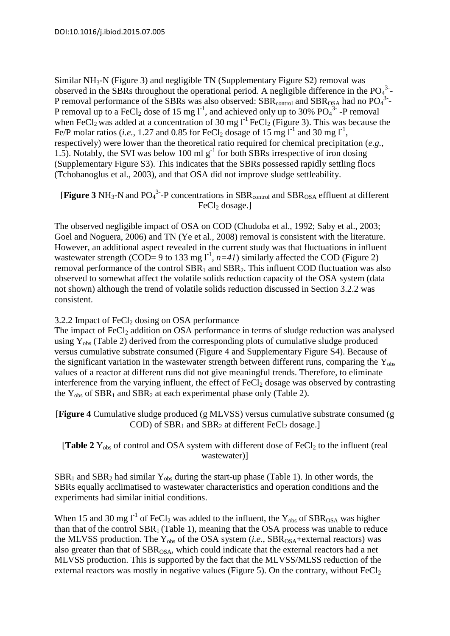Similar NH<sub>3</sub>-N (Figure 3) and negligible TN (Supplementary Figure S2) removal was observed in the SBRs throughout the operational period. A negligible difference in the  $PO<sub>4</sub><sup>3</sup>$ -P removal performance of the SBRs was also observed:  $SBR_{control}$  and  $SBR_{OSA}$  had no  $PO<sub>4</sub><sup>3</sup>$ -P removal up to a FeCl<sub>2</sub> dose of 15 mg  $I^{-1}$ , and achieved only up to 30% PO<sub>4</sub><sup>3</sup> -P removal when FeCl<sub>2</sub> was added at a concentration of 30 mg  $1^{\text{-}1}$  FeCl<sub>2</sub> (Figure 3). This was because the Fe/P molar ratios (*i.e.*, 1.27 and 0.85 for FeCl<sub>2</sub> dosage of 15 mg  $I<sup>-1</sup>$  and 30 mg  $I<sup>-1</sup>$ , respectively) were lower than the theoretical ratio required for chemical precipitation (*e.g.*, 1.5). Notably, the SVI was below 100 ml  $g^{-1}$  for both SBRs irrespective of iron dosing (Supplementary Figure S3). This indicates that the SBRs possessed rapidly settling flocs (Tchobanoglus et al., 2003), and that OSA did not improve sludge settleability.

[Figure 3  $NH_3$ -N and  $PO_4$ <sup>3-</sup>-P concentrations in SBR<sub>control</sub> and SBR<sub>OSA</sub> effluent at different FeCl<sub>2</sub> dosage.]

The observed negligible impact of OSA on COD (Chudoba et al., 1992; Saby et al., 2003; Goel and Noguera, 2006) and TN (Ye et al., 2008) removal is consistent with the literature. However, an additional aspect revealed in the current study was that fluctuations in influent wastewater strength (COD= 9 to 133 mg  $l^{-1}$ ,  $n=4l$ ) similarly affected the COD (Figure 2) removal performance of the control  $SBR<sub>1</sub>$  and  $SBR<sub>2</sub>$ . This influent COD fluctuation was also observed to somewhat affect the volatile solids reduction capacity of the OSA system (data not shown) although the trend of volatile solids reduction discussed in Section 3.2.2 was consistent.

#### 3.2.2 Impact of  $FeCl<sub>2</sub>$  dosing on OSA performance

The impact of  $FeCl<sub>2</sub>$  addition on OSA performance in terms of sludge reduction was analysed using  $Y_{obs}$  (Table 2) derived from the corresponding plots of cumulative sludge produced versus cumulative substrate consumed (Figure 4 and Supplementary Figure S4). Because of the significant variation in the wastewater strength between different runs, comparing the  $Y_{obs}$ values of a reactor at different runs did not give meaningful trends. Therefore, to eliminate interference from the varying influent, the effect of  $FeCl<sub>2</sub>$  dosage was observed by contrasting the  $Y_{obs}$  of  $SBR_1$  and  $SBR_2$  at each experimental phase only (Table 2).

[**Figure 4** Cumulative sludge produced (g MLVSS) versus cumulative substrate consumed (g COD) of  $SBR<sub>1</sub>$  and  $SBR<sub>2</sub>$  at different  $FeCl<sub>2</sub>$  dosage.]

[**Table 2**  $Y_{obs}$  of control and OSA system with different dose of  $FeCl<sub>2</sub>$  to the influent (real wastewater)]

 $SBR<sub>1</sub>$  and  $SBR<sub>2</sub>$  had similar  $Y<sub>obs</sub>$  during the start-up phase (Table 1). In other words, the SBRs equally acclimatised to wastewater characteristics and operation conditions and the experiments had similar initial conditions.

When 15 and 30 mg  $l^{-1}$  of FeCl<sub>2</sub> was added to the influent, the Y<sub>obs</sub> of SBR<sub>OSA</sub> was higher than that of the control  $SBR<sub>1</sub>$  (Table 1), meaning that the OSA process was unable to reduce the MLVSS production. The Y<sub>obs</sub> of the OSA system (*i.e.*, SBR<sub>OSA</sub>+external reactors) was also greater than that of  $SBR<sub>OSA</sub>$ , which could indicate that the external reactors had a net MLVSS production. This is supported by the fact that the MLVSS/MLSS reduction of the external reactors was mostly in negative values (Figure 5). On the contrary, without  $\text{FeCl}_2$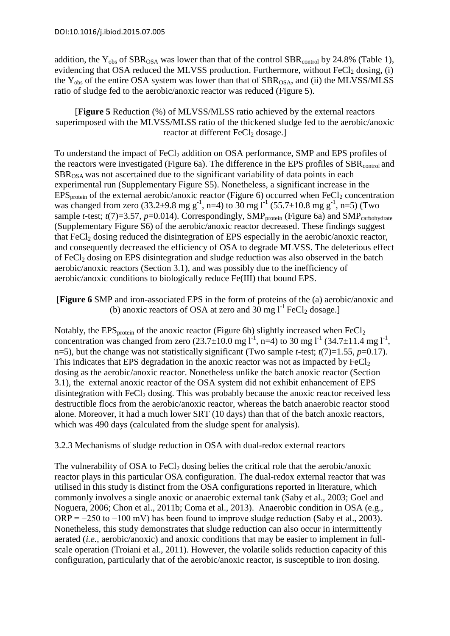addition, the  $Y_{obs}$  of  $SBR_{OSA}$  was lower than that of the control  $SBR_{control}$  by 24.8% (Table 1), evidencing that OSA reduced the MLVSS production. Furthermore, without  $FeCl<sub>2</sub>$  dosing, (i) the  $Y_{obs}$  of the entire OSA system was lower than that of  $SBR_{OSA}$ , and (ii) the MLVSS/MLSS ratio of sludge fed to the aerobic/anoxic reactor was reduced (Figure 5).

[**Figure 5** Reduction (%) of MLVSS/MLSS ratio achieved by the external reactors superimposed with the MLVSS/MLSS ratio of the thickened sludge fed to the aerobic/anoxic reactor at different FeCl<sub>2</sub> dosage.]

To understand the impact of  $FeCl<sub>2</sub>$  addition on OSA performance, SMP and EPS profiles of the reactors were investigated (Figure 6a). The difference in the EPS profiles of  $SBR<sub>control</sub>$  and SBROSA was not ascertained due to the significant variability of data points in each experimental run (Supplementary Figure S5). Nonetheless, a significant increase in the  $EPS_{\text{protein}}$  of the external aerobic/anoxic reactor (Figure 6) occurred when  $FeCl<sub>2</sub>$  concentration was changed from zero (33.2±9.8 mg g<sup>-1</sup>, n=4) to 30 mg  $l^{-1}$  (55.7±10.8 mg g<sup>-1</sup>, n=5) (Two sample *t*-test; *t*(7)=3.57, *p*=0.014). Correspondingly, SMP<sub>protein</sub> (Figure 6a) and SMP<sub>carbohydrate</sub> (Supplementary Figure S6) of the aerobic/anoxic reactor decreased. These findings suggest that FeCl<sub>2</sub> dosing reduced the disintegration of EPS especially in the aerobic/anoxic reactor, and consequently decreased the efficiency of OSA to degrade MLVSS. The deleterious effect of  $FeCl<sub>2</sub>$  dosing on EPS disintegration and sludge reduction was also observed in the batch aerobic/anoxic reactors (Section 3.1), and was possibly due to the inefficiency of aerobic/anoxic conditions to biologically reduce Fe(III) that bound EPS.

[**Figure 6** SMP and iron-associated EPS in the form of proteins of the (a) aerobic/anoxic and (b) anoxic reactors of OSA at zero and 30 mg  $l^{-1}$  FeCl<sub>2</sub> dosage.]

Notably, the  $EPS<sub>protein</sub>$  of the anoxic reactor (Figure 6b) slightly increased when  $FeCl<sub>2</sub>$ concentration was changed from zero  $(23.7\pm10.0 \text{ mg l}^{-1}, \text{ n=4})$  to 30 mg l<sup>-1</sup>  $(34.7\pm11.4 \text{ mg l}^{-1},$ n=5), but the change was not statistically significant (Two sample *t*-test;  $t(7)=1.55$ ,  $p=0.17$ ). This indicates that EPS degradation in the anoxic reactor was not as impacted by  $FeCl<sub>2</sub>$ dosing as the aerobic/anoxic reactor. Nonetheless unlike the batch anoxic reactor (Section 3.1), the external anoxic reactor of the OSA system did not exhibit enhancement of EPS disintegration with  $FeCl<sub>2</sub>$  dosing. This was probably because the anoxic reactor received less destructible flocs from the aerobic/anoxic reactor, whereas the batch anaerobic reactor stood alone. Moreover, it had a much lower SRT (10 days) than that of the batch anoxic reactors, which was 490 days (calculated from the sludge spent for analysis).

3.2.3 Mechanisms of sludge reduction in OSA with dual-redox external reactors

The vulnerability of OSA to  $FeCl<sub>2</sub>$  dosing belies the critical role that the aerobic/anoxic reactor plays in this particular OSA configuration. The dual-redox external reactor that was utilised in this study is distinct from the OSA configurations reported in literature, which commonly involves a single anoxic or anaerobic external tank (Saby et al., 2003; Goel and Noguera, 2006; Chon et al., 2011b; Coma et al., 2013). Anaerobic condition in OSA (e.g.,  $ORP = -250$  to  $-100$  mV) has been found to improve sludge reduction (Saby et al., 2003). Nonetheless, this study demonstrates that sludge reduction can also occur in intermittently aerated (*i.e.,* aerobic/anoxic) and anoxic conditions that may be easier to implement in fullscale operation (Troiani et al., 2011). However, the volatile solids reduction capacity of this configuration, particularly that of the aerobic/anoxic reactor, is susceptible to iron dosing.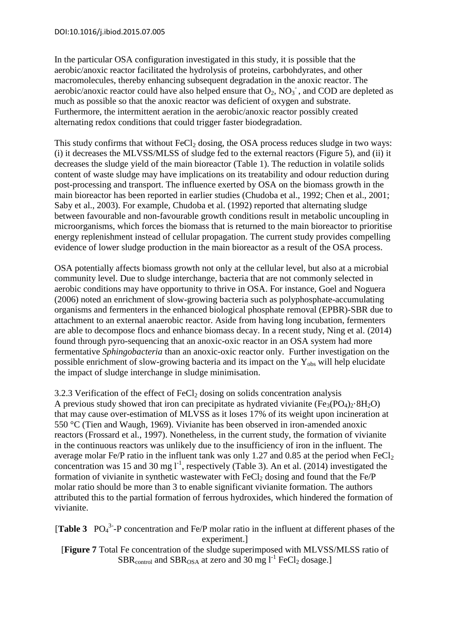In the particular OSA configuration investigated in this study, it is possible that the aerobic/anoxic reactor facilitated the hydrolysis of proteins, carbohdyrates, and other macromolecules, thereby enhancing subsequent degradation in the anoxic reactor. The aerobic/anoxic reactor could have also helped ensure that  $O_2$ ,  $NO_3^-$ , and COD are depleted as much as possible so that the anoxic reactor was deficient of oxygen and substrate. Furthermore, the intermittent aeration in the aerobic/anoxic reactor possibly created alternating redox conditions that could trigger faster biodegradation.

This study confirms that without  $\text{FeCl}_2$  dosing, the OSA process reduces sludge in two ways: (i) it decreases the MLVSS/MLSS of sludge fed to the external reactors (Figure 5), and (ii) it decreases the sludge yield of the main bioreactor (Table 1). The reduction in volatile solids content of waste sludge may have implications on its treatability and odour reduction during post-processing and transport. The influence exerted by OSA on the biomass growth in the main bioreactor has been reported in earlier studies (Chudoba et al., 1992; Chen et al., 2001; Saby et al., 2003). For example, Chudoba et al. (1992) reported that alternating sludge between favourable and non-favourable growth conditions result in metabolic uncoupling in microorganisms, which forces the biomass that is returned to the main bioreactor to prioritise energy replenishment instead of cellular propagation. The current study provides compelling evidence of lower sludge production in the main bioreactor as a result of the OSA process.

OSA potentially affects biomass growth not only at the cellular level, but also at a microbial community level. Due to sludge interchange, bacteria that are not commonly selected in aerobic conditions may have opportunity to thrive in OSA. For instance, Goel and Noguera (2006) noted an enrichment of slow-growing bacteria such as polyphosphate-accumulating organisms and fermenters in the enhanced biological phosphate removal (EPBR)-SBR due to attachment to an external anaerobic reactor. Aside from having long incubation, fermenters are able to decompose flocs and enhance biomass decay. In a recent study, Ning et al. (2014) found through pyro-sequencing that an anoxic-oxic reactor in an OSA system had more fermentative *Sphingobacteria* than an anoxic-oxic reactor only. Further investigation on the possible enrichment of slow-growing bacteria and its impact on the  $Y_{obs}$  will help elucidate the impact of sludge interchange in sludge minimisation.

3.2.3 Verification of the effect of  $FeCl<sub>2</sub>$  dosing on solids concentration analysis A previous study showed that iron can precipitate as hydrated vivianite (Fe<sub>3</sub>(PO<sub>4</sub>)<sub>2</sub>·8H<sub>2</sub>O) that may cause over-estimation of MLVSS as it loses 17% of its weight upon incineration at 550 °C (Tien and Waugh, 1969). Vivianite has been observed in iron-amended anoxic reactors (Frossard et al., 1997). Nonetheless, in the current study, the formation of vivianite in the continuous reactors was unlikely due to the insufficiency of iron in the influent. The average molar Fe/P ratio in the influent tank was only 1.27 and 0.85 at the period when FeCl<sub>2</sub> concentration was 15 and 30 mg  $I<sup>-1</sup>$ , respectively (Table 3). An et al. (2014) investigated the formation of vivianite in synthetic wastewater with  $FeCl<sub>2</sub>$  dosing and found that the  $Fe/P$ molar ratio should be more than 3 to enable significant vivianite formation. The authors attributed this to the partial formation of ferrous hydroxides, which hindered the formation of vivianite.

[Table 3 PO<sub>4</sub><sup>3-</sup>-P concentration and Fe/P molar ratio in the influent at different phases of the experiment.]

[**Figure 7** Total Fe concentration of the sludge superimposed with MLVSS/MLSS ratio of  $SBR_{control}$  and  $SBR_{OSA}$  at zero and 30 mg  $l<sup>-1</sup>$  FeCl<sub>2</sub> dosage.]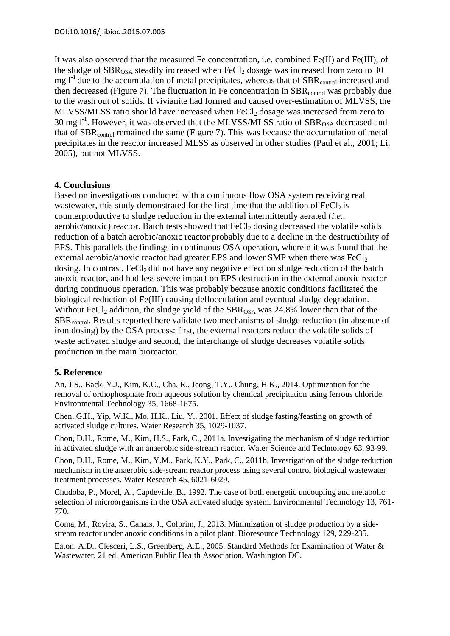It was also observed that the measured Fe concentration, i.e. combined Fe(II) and Fe(III), of the sludge of  $SBR<sub>OSA</sub>$  steadily increased when FeCl<sub>2</sub> dosage was increased from zero to 30  $mg l^{-1}$  due to the accumulation of metal precipitates, whereas that of SBR<sub>control</sub> increased and then decreased (Figure 7). The fluctuation in Fe concentration in  $SBR<sub>control</sub>$  was probably due to the wash out of solids. If vivianite had formed and caused over-estimation of MLVSS, the MLVSS/MLSS ratio should have increased when FeCl<sub>2</sub> dosage was increased from zero to 30 mg  $I^{-1}$ . However, it was observed that the MLVSS/MLSS ratio of SBR<sub>OSA</sub> decreased and that of SBRcontrol remained the same (Figure 7). This was because the accumulation of metal precipitates in the reactor increased MLSS as observed in other studies (Paul et al., 2001; Li, 2005), but not MLVSS.

#### **4. Conclusions**

Based on investigations conducted with a continuous flow OSA system receiving real wastewater, this study demonstrated for the first time that the addition of  $FeCl<sub>2</sub>$  is counterproductive to sludge reduction in the external intermittently aerated (*i.e.*, aerobic/anoxic) reactor. Batch tests showed that  $FeCl<sub>2</sub>$  dosing decreased the volatile solids reduction of a batch aerobic/anoxic reactor probably due to a decline in the destructibility of EPS. This parallels the findings in continuous OSA operation, wherein it was found that the external aerobic/anoxic reactor had greater EPS and lower SMP when there was  $FeCl<sub>2</sub>$ dosing. In contrast,  $FeCl<sub>2</sub>$  did not have any negative effect on sludge reduction of the batch anoxic reactor, and had less severe impact on EPS destruction in the external anoxic reactor during continuous operation. This was probably because anoxic conditions facilitated the biological reduction of Fe(III) causing deflocculation and eventual sludge degradation. Without FeCl<sub>2</sub> addition, the sludge yield of the  $SBR<sub>OSA</sub>$  was 24.8% lower than that of the SBRcontrol. Results reported here validate two mechanisms of sludge reduction (in absence of iron dosing) by the OSA process: first, the external reactors reduce the volatile solids of waste activated sludge and second, the interchange of sludge decreases volatile solids production in the main bioreactor.

#### **5. Reference**

An, J.S., Back, Y.J., Kim, K.C., Cha, R., Jeong, T.Y., Chung, H.K., 2014. Optimization for the removal of orthophosphate from aqueous solution by chemical precipitation using ferrous chloride. Environmental Technology 35, 1668-1675.

Chen, G.H., Yip, W.K., Mo, H.K., Liu, Y., 2001. Effect of sludge fasting/feasting on growth of activated sludge cultures. Water Research 35, 1029-1037.

Chon, D.H., Rome, M., Kim, H.S., Park, C., 2011a. Investigating the mechanism of sludge reduction in activated sludge with an anaerobic side-stream reactor. Water Science and Technology 63, 93-99.

Chon, D.H., Rome, M., Kim, Y.M., Park, K.Y., Park, C., 2011b. Investigation of the sludge reduction mechanism in the anaerobic side-stream reactor process using several control biological wastewater treatment processes. Water Research 45, 6021-6029.

Chudoba, P., Morel, A., Capdeville, B., 1992. The case of both energetic uncoupling and metabolic selection of microorganisms in the OSA activated sludge system. Environmental Technology 13, 761- 770.

Coma, M., Rovira, S., Canals, J., Colprim, J., 2013. Minimization of sludge production by a sidestream reactor under anoxic conditions in a pilot plant. Bioresource Technology 129, 229-235.

Eaton, A.D., Clesceri, L.S., Greenberg, A.E., 2005. Standard Methods for Examination of Water & Wastewater, 21 ed. American Public Health Association, Washington DC.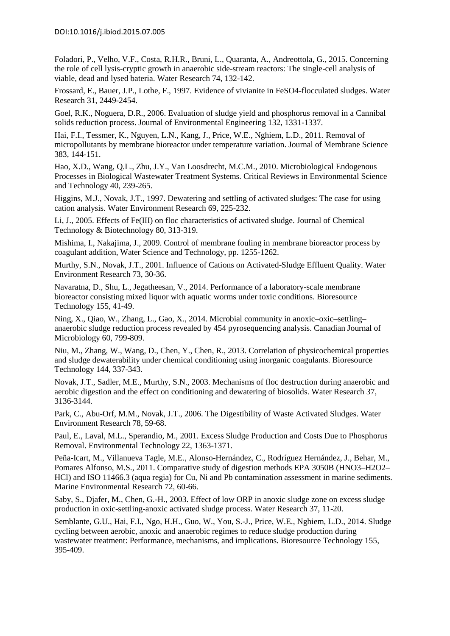Foladori, P., Velho, V.F., Costa, R.H.R., Bruni, L., Quaranta, A., Andreottola, G., 2015. Concerning the role of cell lysis-cryptic growth in anaerobic side-stream reactors: The single-cell analysis of viable, dead and lysed bateria. Water Research 74, 132-142.

Frossard, E., Bauer, J.P., Lothe, F., 1997. Evidence of vivianite in FeSO4-flocculated sludges. Water Research 31, 2449-2454.

Goel, R.K., Noguera, D.R., 2006. Evaluation of sludge yield and phosphorus removal in a Cannibal solids reduction process. Journal of Environmental Engineering 132, 1331-1337.

Hai, F.I., Tessmer, K., Nguyen, L.N., Kang, J., Price, W.E., Nghiem, L.D., 2011. Removal of micropollutants by membrane bioreactor under temperature variation. Journal of Membrane Science 383, 144-151.

<span id="page-13-0"></span>Hao, X.D., Wang, Q.L., Zhu, J.Y., Van Loosdrecht, M.C.M., 2010. Microbiological Endogenous Processes in Biological Wastewater Treatment Systems. Critical Reviews in Environmental Science and Technology 40, 239-265.

Higgins, M.J., Novak, J.T., 1997. Dewatering and settling of activated sludges: The case for using cation analysis. Water Environment Research 69, 225-232.

Li, J., 2005. Effects of Fe(III) on floc characteristics of activated sludge. Journal of Chemical Technology & Biotechnology 80, 313-319.

Mishima, I., Nakajima, J., 2009. Control of membrane fouling in membrane bioreactor process by coagulant addition, Water Science and Technology, pp. 1255-1262.

Murthy, S.N., Novak, J.T., 2001. Influence of Cations on Activated-Sludge Effluent Quality. Water Environment Research 73, 30-36.

Navaratna, D., Shu, L., Jegatheesan, V., 2014. Performance of a laboratory-scale membrane bioreactor consisting mixed liquor with aquatic worms under toxic conditions. Bioresource Technology 155, 41-49.

Ning, X., Qiao, W., Zhang, L., Gao, X., 2014. Microbial community in anoxic–oxic–settling– anaerobic sludge reduction process revealed by 454 pyrosequencing analysis. Canadian Journal of Microbiology 60, 799-809.

Niu, M., Zhang, W., Wang, D., Chen, Y., Chen, R., 2013. Correlation of physicochemical properties and sludge dewaterability under chemical conditioning using inorganic coagulants. Bioresource Technology 144, 337-343.

Novak, J.T., Sadler, M.E., Murthy, S.N., 2003. Mechanisms of floc destruction during anaerobic and aerobic digestion and the effect on conditioning and dewatering of biosolids. Water Research 37, 3136-3144.

Park, C., Abu-Orf, M.M., Novak, J.T., 2006. The Digestibility of Waste Activated Sludges. Water Environment Research 78, 59-68.

Paul, E., Laval, M.L., Sperandio, M., 2001. Excess Sludge Production and Costs Due to Phosphorus Removal. Environmental Technology 22, 1363-1371.

Peña-Icart, M., Villanueva Tagle, M.E., Alonso-Hernández, C., Rodríguez Hernández, J., Behar, M., Pomares Alfonso, M.S., 2011. Comparative study of digestion methods EPA 3050B (HNO3–H2O2– HCl) and ISO 11466.3 (aqua regia) for Cu, Ni and Pb contamination assessment in marine sediments. Marine Environmental Research 72, 60-66.

Saby, S., Djafer, M., Chen, G.-H., 2003. Effect of low ORP in anoxic sludge zone on excess sludge production in oxic-settling-anoxic activated sludge process. Water Research 37, 11-20.

Semblante, G.U., Hai, F.I., Ngo, H.H., Guo, W., You, S.-J., Price, W.E., Nghiem, L.D., 2014. Sludge cycling between aerobic, anoxic and anaerobic regimes to reduce sludge production during wastewater treatment: Performance, mechanisms, and implications. Bioresource Technology 155, 395-409.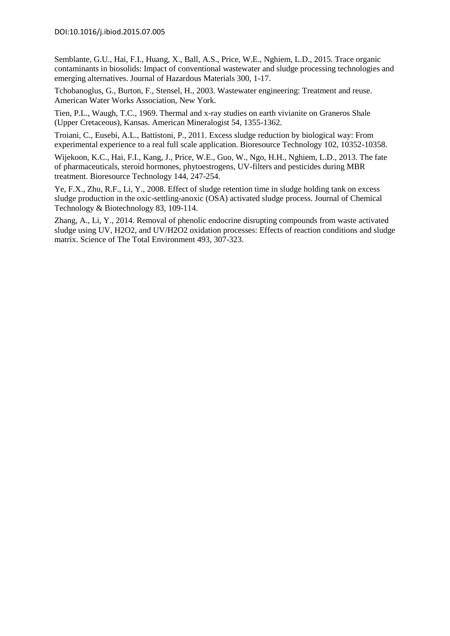Semblante, G.U., Hai, F.I., Huang, X., Ball, A.S., Price, W.E., Nghiem, L.D., 2015. Trace organic contaminants in biosolids: Impact of conventional wastewater and sludge processing technologies and emerging alternatives. Journal of Hazardous Materials 300, 1-17.

Tchobanoglus, G., Burton, F., Stensel, H., 2003. Wastewater engineering: Treatment and reuse. American Water Works Association, New York.

Tien, P.L., Waugh, T.C., 1969. Thermal and x-ray studies on earth vivianite on Graneros Shale (Upper Cretaceous), Kansas. American Mineralogist 54, 1355-1362.

Troiani, C., Eusebi, A.L., Battistoni, P., 2011. Excess sludge reduction by biological way: From experimental experience to a real full scale application. Bioresource Technology 102, 10352-10358.

Wijekoon, K.C., Hai, F.I., Kang, J., Price, W.E., Guo, W., Ngo, H.H., Nghiem, L.D., 2013. The fate of pharmaceuticals, steroid hormones, phytoestrogens, UV-filters and pesticides during MBR treatment. Bioresource Technology 144, 247-254.

Ye, F.X., Zhu, R.F., Li, Y., 2008. Effect of sludge retention time in sludge holding tank on excess sludge production in the oxic-settling-anoxic (OSA) activated sludge process. Journal of Chemical Technology & Biotechnology 83, 109-114.

Zhang, A., Li, Y., 2014. Removal of phenolic endocrine disrupting compounds from waste activated sludge using UV, H2O2, and UV/H2O2 oxidation processes: Effects of reaction conditions and sludge matrix. Science of The Total Environment 493, 307-323.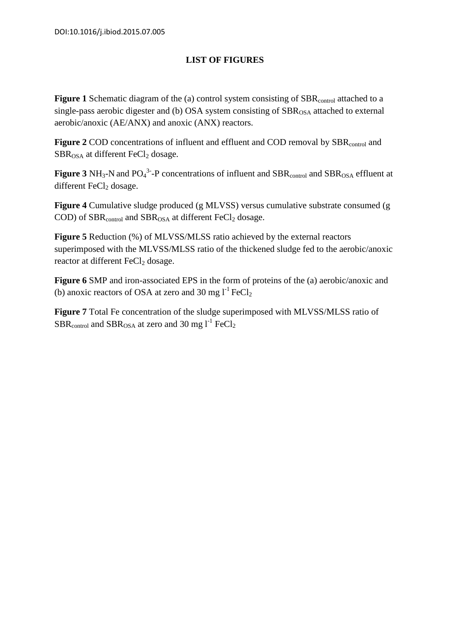# **LIST OF FIGURES**

**Figure 1** Schematic diagram of the (a) control system consisting of SBR<sub>control</sub> attached to a single-pass aerobic digester and (b) OSA system consisting of  $SBR<sub>OSA</sub>$  attached to external aerobic/anoxic (AE/ANX) and anoxic (ANX) reactors.

Figure 2 COD concentrations of influent and effluent and COD removal by SBR<sub>control</sub> and  $SBR<sub>OSA</sub>$  at different FeCl<sub>2</sub> dosage.

**Figure 3** NH<sub>3</sub>-N and PO<sub>4</sub><sup>3</sup>-P concentrations of influent and SBR<sub>control</sub> and SBR<sub>OSA</sub> effluent at different  $FeCl<sub>2</sub>$  dosage.

**Figure 4** Cumulative sludge produced (g MLVSS) versus cumulative substrate consumed (g COD) of  $SBR<sub>control</sub>$  and  $SBR<sub>OSA</sub>$  at different  $FeCl<sub>2</sub>$  dosage.

**Figure 5** Reduction (%) of MLVSS/MLSS ratio achieved by the external reactors superimposed with the MLVSS/MLSS ratio of the thickened sludge fed to the aerobic/anoxic reactor at different FeCl<sub>2</sub> dosage.

**Figure 6** SMP and iron-associated EPS in the form of proteins of the (a) aerobic/anoxic and (b) anoxic reactors of OSA at zero and 30 mg  $l^{-1}$  FeCl<sub>2</sub>

**Figure 7** Total Fe concentration of the sludge superimposed with MLVSS/MLSS ratio of  $SBR_{control}$  and  $SBR_{OSA}$  at zero and 30 mg  $1^{-1}$  FeCl<sub>2</sub>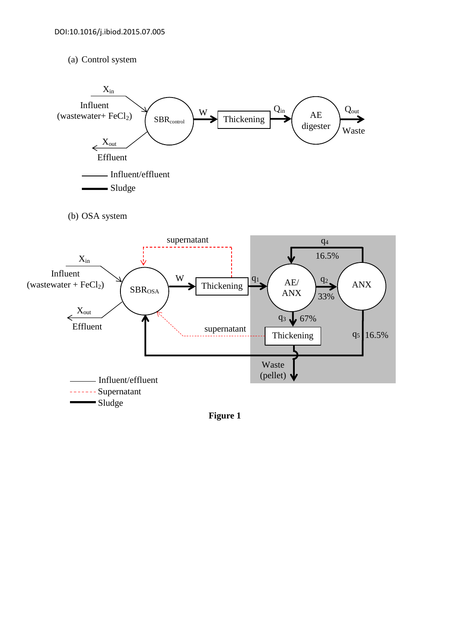#### (a) Control system



**Figure 1**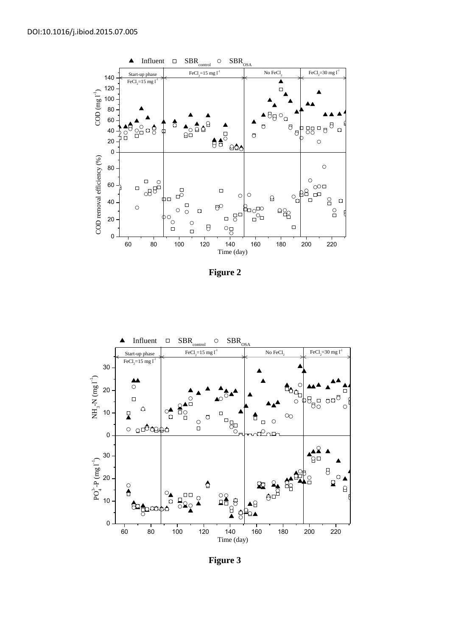

**Figure 2** 



**Figure 3**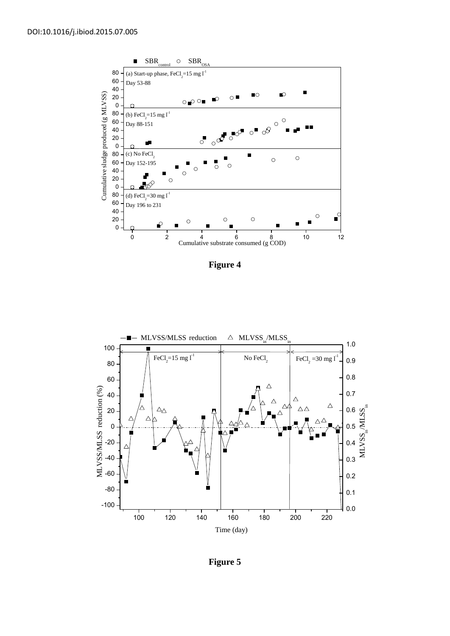

**Figure 4**



**Figure 5**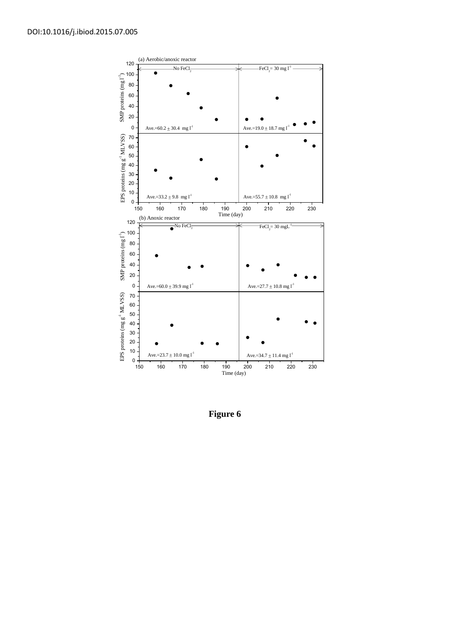

**Figure 6**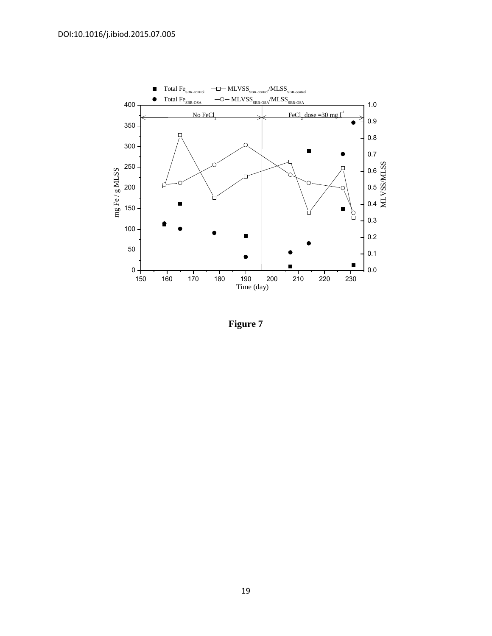

**Figure 7**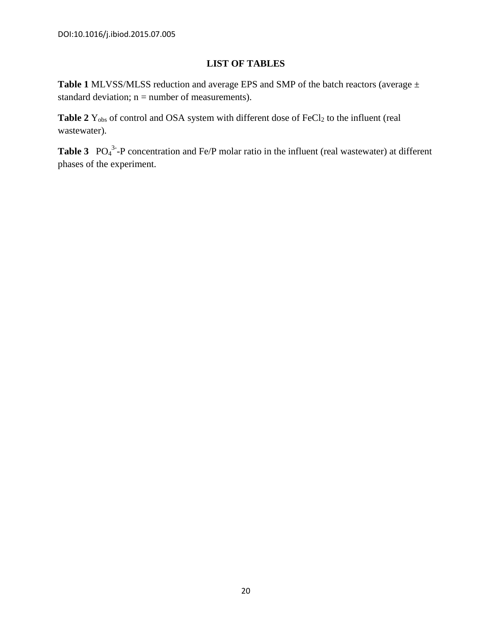# **LIST OF TABLES**

**Table 1** MLVSS/MLSS reduction and average EPS and SMP of the batch reactors (average ± standard deviation;  $n =$  number of measurements).

Table 2 Y<sub>obs</sub> of control and OSA system with different dose of FeCl<sub>2</sub> to the influent (real wastewater).

**Table 3**  $PO_4^{3}$ -P concentration and Fe/P molar ratio in the influent (real wastewater) at different phases of the experiment.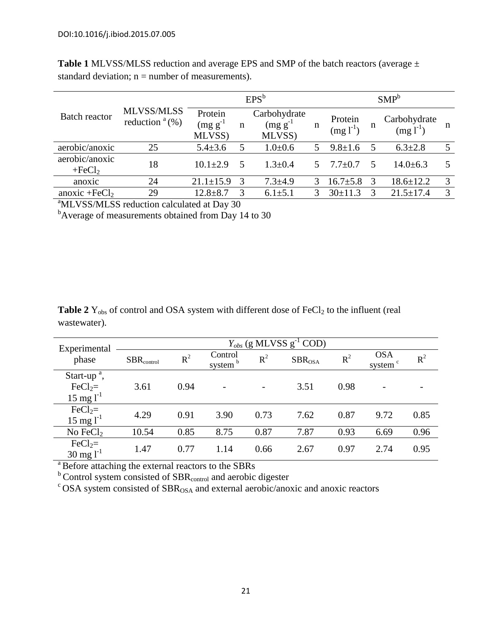| <b>Batch reactor</b>       | <b>MLVSS/MLSS</b><br>reduction $a(\%)$ | $EPS^b$                            |   |                                         |    | $SMP^b$                  |   |                               |   |
|----------------------------|----------------------------------------|------------------------------------|---|-----------------------------------------|----|--------------------------|---|-------------------------------|---|
|                            |                                        | Protein<br>$(mg g^{-1})$<br>MLVSS) | n | Carbohydrate<br>$(mg g^{-1})$<br>MLVSS) | n  | Protein<br>$(mg 1^{-1})$ | n | Carbohydrate<br>$(mg l^{-1})$ | n |
| aerobic/anoxic             | 25                                     | $5.4 \pm 3.6$                      | 5 | $1.0 + 0.6$                             |    | $9.8 \pm 1.6$            | 5 | $6.3 \pm 2.8$                 |   |
| aerobic/anoxic<br>$+FeCl2$ | 18                                     | $10.1 + 2.9$                       | 5 | $1.3 + 0.4$                             | 5. | $7.7+0.7$                | 5 | $14.0 + 6.3$                  |   |
| anoxic                     | 24                                     | $21.1 \pm 15.9$                    |   | $7.3 + 4.9$                             |    | $16.7 \pm 5.8$           | 3 | $18.6 \pm 12.2$               | 3 |
| anoxic + $FeCl2$           | 29                                     | $12.8 + 8.7$                       |   | $6.1 \pm 5.1$                           |    | $30+11.3$                |   | $21.5 \pm 17.4$               | 3 |

**Table 1** MLVSS/MLSS reduction and average EPS and SMP of the batch reactors (average ± standard deviation;  $n =$  number of measurements).

<sup>a</sup>MLVSS/MLSS reduction calculated at Day 30

<sup>b</sup>Average of measurements obtained from Day 14 to 30

| <b>Table 2</b> $Y_{obs}$ of control and OSA system with different dose of FeCl <sub>2</sub> to the influent (real |  |
|-------------------------------------------------------------------------------------------------------------------|--|
| wastewater).                                                                                                      |  |

| Experimental                         | $Y_{obs}$ (g MLVSS $g^{-1}$ COD) |       |                                |       |                    |       |                                   |       |  |
|--------------------------------------|----------------------------------|-------|--------------------------------|-------|--------------------|-------|-----------------------------------|-------|--|
| phase                                | ${\rm SBR}_{{\rm control}}$      | $R^2$ | Control<br>system <sup>b</sup> | $R^2$ | SBR <sub>OSA</sub> | $R^2$ | <b>OSA</b><br>system <sup>c</sup> | $R^2$ |  |
| Start-up <sup><math>a</math></sup> , |                                  |       |                                |       |                    |       |                                   |       |  |
| $FeCl2=$                             | 3.61                             | 0.94  |                                |       | 3.51               | 0.98  |                                   |       |  |
| $15 \text{ mg} l^{-1}$               |                                  |       |                                |       |                    |       |                                   |       |  |
| $FeCl2=$                             | 4.29                             | 0.91  | 3.90                           | 0.73  | 7.62               | 0.87  | 9.72                              | 0.85  |  |
| $15 \text{ mg} l^{-1}$               |                                  |       |                                |       |                    |       |                                   |       |  |
| No $FeCl2$                           | 10.54                            | 0.85  | 8.75                           | 0.87  | 7.87               | 0.93  | 6.69                              | 0.96  |  |
| $FeCl2=$<br>$30 \text{ mg}$ $1^{-1}$ | 1.47                             | 0.77  | 1.14                           | 0.66  | 2.67               | 0.97  | 2.74                              | 0.95  |  |

<sup>a</sup> Before attaching the external reactors to the SBRs

 $b$  Control system consisted of SBR<sub>control</sub> and aerobic digester

 $\overrightarrow{C}$ OSA system consisted of SBR<sub>OSA</sub> and external aerobic/anoxic and anoxic reactors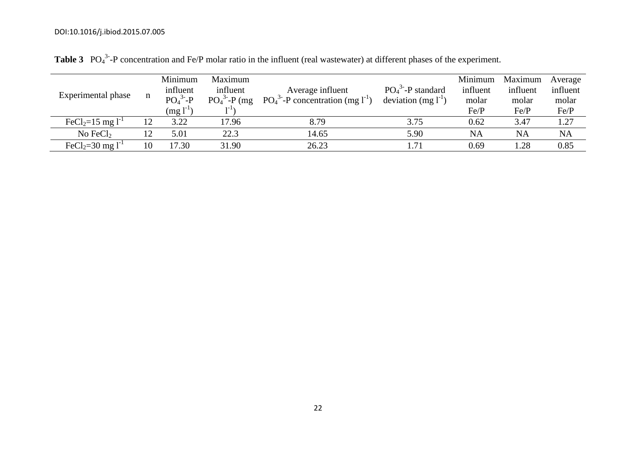| Experimental phase                | n  | Minimum<br>influent<br>$PO43-P$<br>$\text{mg} \, \text{l}^{\text{-1}}$ | Maximum<br>influent<br>$PO43 - P$ (mg) | Average influent<br>$PO43$ -P concentration (mg $1^{-1}$ ) | $PO43 - P$ standard<br>deviation $(mg l-1)$ | Minimum<br>influent<br>molar<br>Fe/P | Maximum<br>influent<br>molar<br>Fe/P | Average<br>influent<br>molar<br>Fe/P |
|-----------------------------------|----|------------------------------------------------------------------------|----------------------------------------|------------------------------------------------------------|---------------------------------------------|--------------------------------------|--------------------------------------|--------------------------------------|
| FeCl <sub>2</sub> =15 mg $l^{-1}$ |    | 3.22                                                                   | 17.96                                  | 8.79                                                       | 3.75                                        | 0.62                                 | 3.47                                 | 1.27                                 |
| No FeC $\mathbf{l}_2$             |    | 5.01                                                                   | 22.3                                   | 14.65                                                      | 5.90                                        | NA                                   | <b>NA</b>                            | <b>NA</b>                            |
| FeCl <sub>2</sub> =30 mg $l^{-1}$ | 10 | 17.30                                                                  | 31.90                                  | 26.23                                                      | 1.71                                        | 0.69                                 | 1.28                                 | 0.85                                 |

**Table 3** PO<sub>4</sub><sup>3-</sup>-P concentration and Fe/P molar ratio in the influent (real wastewater) at different phases of the experiment.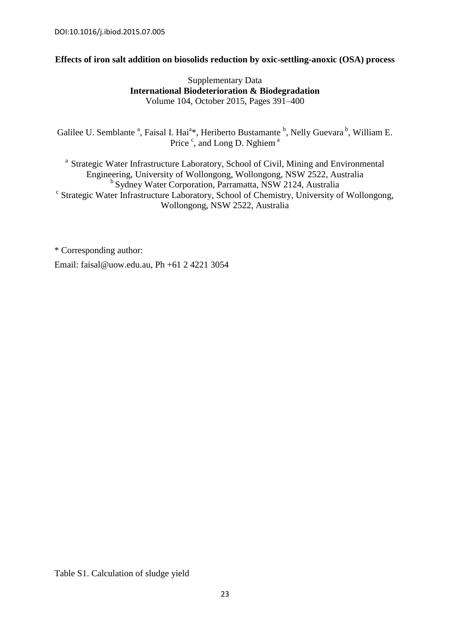#### **Effects of iron salt addition on biosolids reduction by oxic-settling-anoxic (OSA) process**

#### Supplementary Data **International Biodeterioration & Biodegradation** Volume 104, October 2015, Pages 391–400

Galilee U. Semblante <sup>a</sup>, Faisal I. Hai<sup>a</sup>\*, Heriberto Bustamante <sup>b</sup>, Nelly Guevara <sup>b</sup>, William E. Price <sup>c</sup>, and Long D. Nghiem<sup>a</sup>

<sup>a</sup> Strategic Water Infrastructure Laboratory, School of Civil, Mining and Environmental Engineering, University of Wollongong, Wollongong, NSW 2522, Australia <sup>b</sup> Sydney Water Corporation, Parramatta, NSW 2124, Australia <sup>c</sup> Strategic Water Infrastructure Laboratory, School of Chemistry, University of Wollongong, Wollongong, NSW 2522, Australia

\* Corresponding author: Email: faisal@uow.edu.au, Ph +61 2 4221 3054

Table S1. Calculation of sludge yield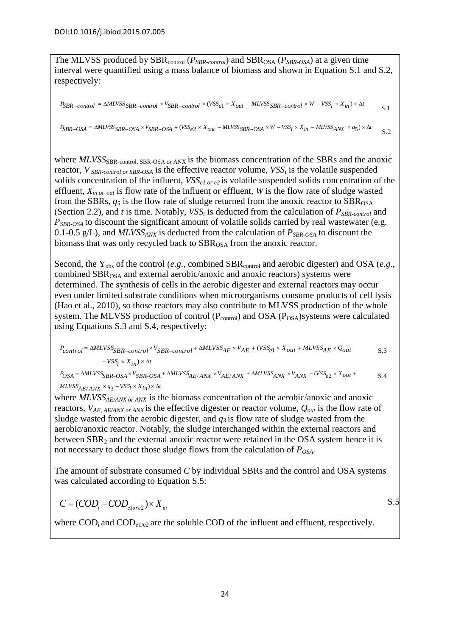The MLVSS produced by SBR<sub>control</sub> ( $P_{SBR\text{-}control}$ ) and SBR<sub>OSA</sub> ( $P_{SBR\text{-}OSA}$ ) at a given time interval were quantified using a mass balance of biomass and shown in Equation S.1 and S.2, respectively:

$$
P_{SBR-control} = \Delta MLVSS_{SBR-control} \times V_{SBR-control} \times (VSS_{e1} \times X_{out} + MLVSS_{SBR-control} \times W - VSS_i \times X_{in}) \times \Delta t
$$

 $P_{SBR-OSA} = \Delta MLVSS_{SBR-OSA} \times V_{SBR-OSA} + (VSS_{e2} \times X_{out} + MLVSS_{SBR-OSA} \times W - VSS_i \times X_{in} - MLVSS_{ANX} \times q_5) \times \Delta t$ S.2

where *MLVSS*<sub>SBR-control, SBR-OSA or ANX is the biomass concentration of the SBRs and the anoxic</sub> reactor, *V SBR-control or SBR-OSA* is the effective reactor volume, *VSS<sup>i</sup>* is the volatile suspended solids concentration of the influent, *VSSe1 or e2* is volatile suspended solids concentration of the effluent, *Xin or out* is flow rate of the influent or effluent, *W* is the flow rate of sludge wasted from the SBRs,  $q_5$  is the flow rate of sludge returned from the anoxic reactor to  $SBR<sub>OSA</sub>$ (Section 2.2), and *t* is time. Notably, *VSS<sup>i</sup>* is deducted from the calculation of *PSBR-control* and *P*<sub>SBR-OSA</sub> to discount the significant amount of volatile solids carried by real wastewater (e.g. 0.1-0.5 g/L), and  $MLVSS_{ANX}$  is deducted from the calculation of  $P_{SBR-OSA}$  to discount the biomass that was only recycled back to SBR<sub>OSA</sub> from the anoxic reactor.

Second, the Y<sub>obs</sub> of the control (*e.g.*, combined SBR<sub>control</sub> and aerobic digester) and OSA (*e.g.*, combined  $SBR<sub>OSA</sub>$  and external aerobic/anoxic and anoxic reactors) systems were determined. The synthesis of cells in the aerobic digester and external reactors may occur even under limited substrate conditions when microorganisms consume products of cell lysis [\(Hao et al., 2010\)](#page-13-0), so those reactors may also contribute to MLVSS production of the whole system. The MLVSS production of control  $(P_{control})$  and OSA  $(P_{OSA})$ systems were calculated

using Equations S.3 and S.4, respectively:  
\n
$$
P_{control} = \Delta M L V S S_{B R-control} \times V_{S B R-control} + \Delta M L V S S_{A E} \times V_{A E} + (V S S_{e1} \times X_{out} + M L V S S_{A E} \times Q_{out} \qquad S.3 - V S S_{i} \times X_{in}) \times \Delta t
$$
\n
$$
P_{OS A} = \Delta M L V S S_{B R-OS A} \times V_{S B R-OS A} + \Delta M L V S S_{A E/ANS} \times V_{A E/ANS} + \Delta M L V S S_{AN X} \times V_{AN X} + (V S S_{e2} \times X_{out} + S.4)
$$
\n
$$
M L V S S_{A E} = V S S_{A E} \times V_{S B R-OM} \times V_{A E} \times V_{A E} \times V_{A E} \times V_{A N X} + (V S S_{e2} \times X_{out} + S.4)
$$

*t*  $i = VSS_i \times X_{in} \times X_{in}$ <br> *Posa* =  $\triangle MLVSS_{SBR} - OSA \times V_{SBR}$ <br> *MLVSS<sub>AE</sub> ANX*  $\times q_3 - VSS_i \times X_{in}$ <br> *i* here *MI VSS i augus i augus*  $S_{e2} \times X_{out}$  $/ANX \times q_3 - VSS_i \times X_{in}) \times \Delta$  $=\Delta MLVSS_{SBR-OSA}\times V_{SBR-OSA}+\Delta MLVSS_{AE/ANX}\times V_{AE/ANX}+\Delta MLVSS_{ANX}\times V_{ANX}+(VSS_{e2}\times X_{out}+V_{in2}\times V_{out}+\Delta LV_{in2}\times V_{out})$ S.4

where *MLVSSAE/ANX or ANX* is the biomass concentration of the aerobic/anoxic and anoxic reactors, *VAE, AE/ANX or ANX* is the effective digester or reactor volume, *Qout* is the flow rate of sludge wasted from the aerobic digester, and  $q_3$  is flow rate of sludge wasted from the aerobic/anoxic reactor. Notably, the sludge interchanged within the external reactors and between  $SBR<sub>2</sub>$  and the external anoxic reactor were retained in the OSA system hence it is not necessary to deduct those sludge flows from the calculation of *POSA.*

The amount of substrate consumed *C* by individual SBRs and the control and OSA systems was calculated according to Equation S.5:

S.5

$$
C = (COD_i - COD_{\text{elore2}}) \times X_{in}
$$

where  $\text{COD}_i$  and  $\text{COD}_{e1/e2}$  are the soluble COD of the influent and effluent, respectively.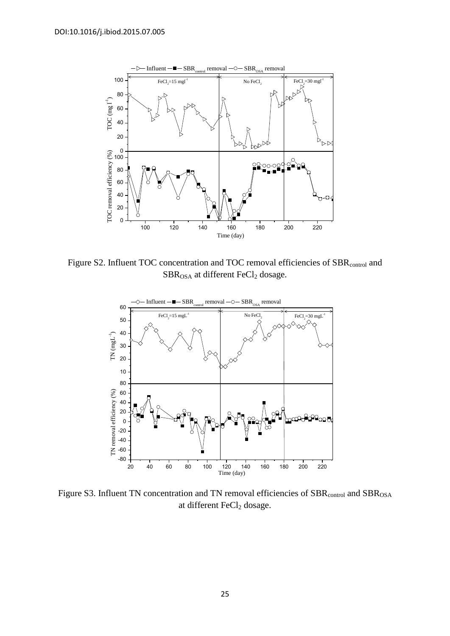

Figure S2. Influent TOC concentration and TOC removal efficiencies of SBR<sub>control</sub> and  $SBR_{OSA}$  at different  $FeCl<sub>2</sub>$  dosage.



Figure S3. Influent TN concentration and TN removal efficiencies of SBR<sub>control</sub> and SBR<sub>OSA</sub> at different FeCl<sub>2</sub> dosage.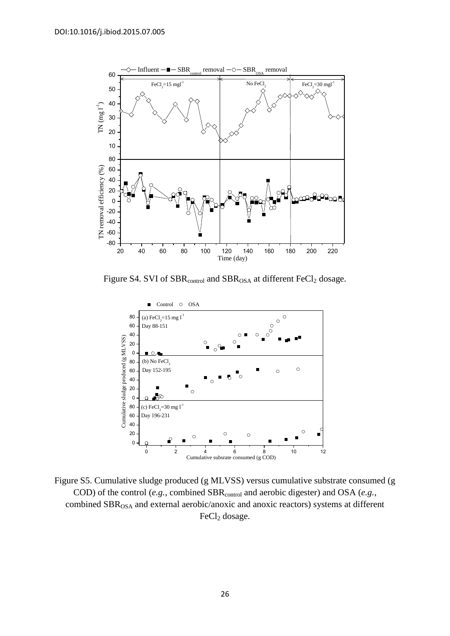

Figure S4. SVI of SBR<sub>control</sub> and SBR<sub>OSA</sub> at different FeCl<sub>2</sub> dosage.



Figure S5. Cumulative sludge produced (g MLVSS) versus cumulative substrate consumed (g COD) of the control (*e.g.*, combined SBR<sub>control</sub> and aerobic digester) and OSA (*e.g.*, combined SBR<sub>OSA</sub> and external aerobic/anoxic and anoxic reactors) systems at different  $FeCl<sub>2</sub>$  dosage.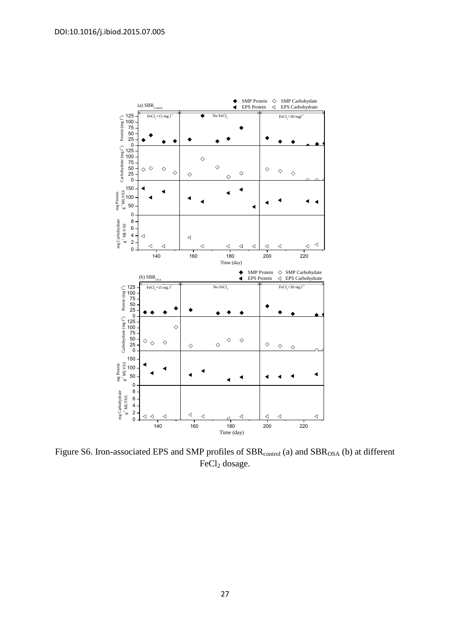

Figure S6. Iron-associated EPS and SMP profiles of  $SBR<sub>control</sub> (a)$  and  $SBR<sub>OSA</sub> (b)$  at different FeCl<sub>2</sub> dosage.